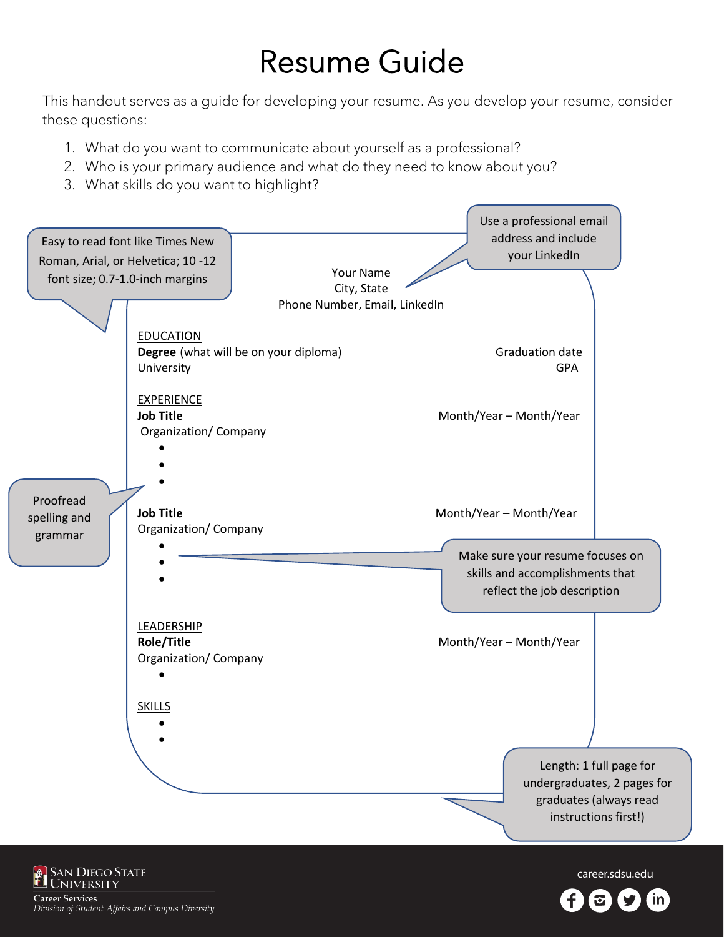# Resume Guide

This handout serves as a guide for developing your resume. As you develop your resume, consider these questions:

- 1. What do you want to communicate about yourself as a professional?
- 2. Who is your primary audience and what do they need to know about you?
- 3. What skills do you want to highlight?



career.sdsu.edu